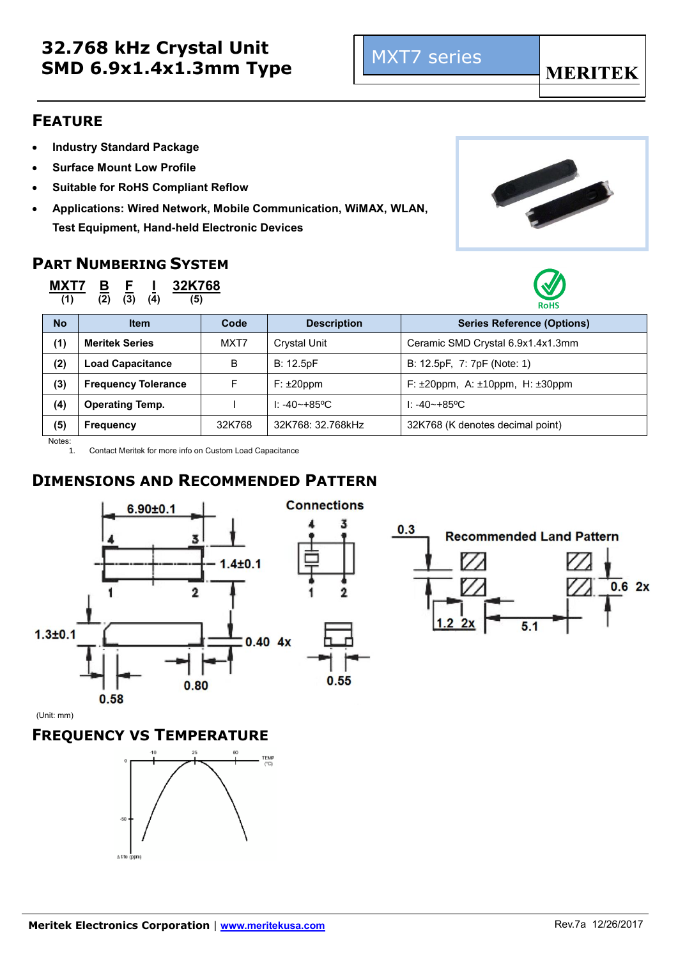### **FEATURE**

- **Industry Standard Package**
- **Surface Mount Low Profile**
- **Suitable for RoHS Compliant Reflow**
- **Applications: Wired Network, Mobile Communication, WiMAX, WLAN, Test Equipment, Hand-held Electronic Devices**

### **PART NUMBERING SYSTEM**



**(1) (2) (3) (4) (5)**





| <b>No</b> | <b>Item</b>                | Code   | <b>Description</b> | <b>Series Reference (Options)</b>                 |
|-----------|----------------------------|--------|--------------------|---------------------------------------------------|
| (1)       | <b>Meritek Series</b>      | MXT7   | Crystal Unit       | Ceramic SMD Crystal 6.9x1.4x1.3mm                 |
| (2)       | <b>Load Capacitance</b>    | В      | B: 12.5pF          | B: 12.5pF, 7: 7pF (Note: 1)                       |
| (3)       | <b>Frequency Tolerance</b> | F      | $F: \pm 20$ ppm    | F: $\pm 20$ ppm, A: $\pm 10$ ppm, H: $\pm 30$ ppm |
| (4)       | <b>Operating Temp.</b>     |        | $1: -40 - +85$ °C  | $1: -40 \rightarrow +85$ °C                       |
| (5)       | <b>Frequency</b>           | 32K768 | 32K768: 32.768kHz  | 32K768 (K denotes decimal point)                  |

Notes:

1. Contact Meritek for more info on Custom Load Capacitance

### **DIMENSIONS AND RECOMMENDED PATTERN**